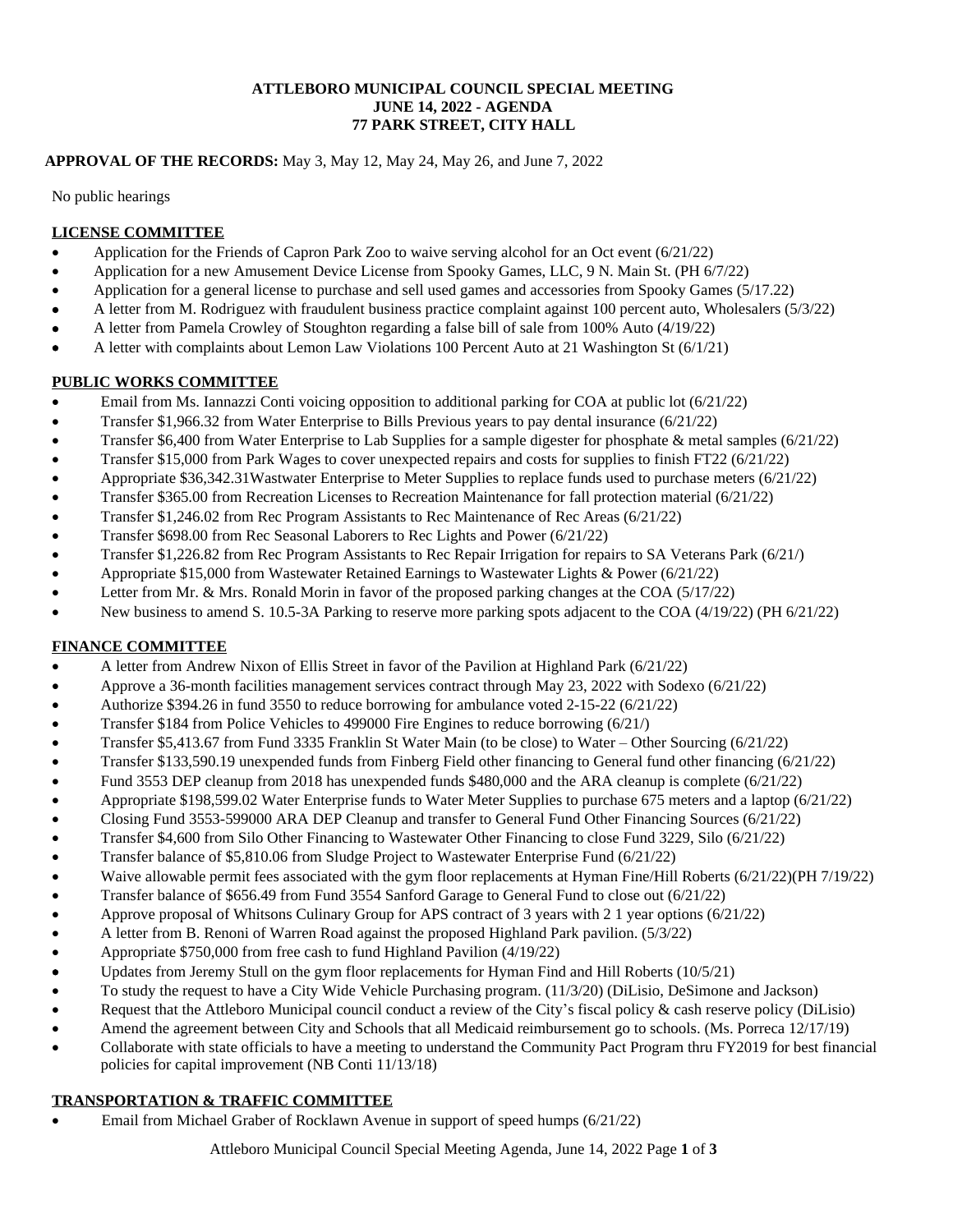#### **ATTLEBORO MUNICIPAL COUNCIL SPECIAL MEETING JUNE 14, 2022 - AGENDA 77 PARK STREET, CITY HALL**

### **APPROVAL OF THE RECORDS:** May 3, May 12, May 24, May 26, and June 7, 2022

No public hearings

### **LICENSE COMMITTEE**

- Application for the Friends of Capron Park Zoo to waive serving alcohol for an Oct event (6/21/22)
- Application for a new Amusement Device License from Spooky Games, LLC, 9 N. Main St. (PH 6/7/22)
- Application for a general license to purchase and sell used games and accessories from Spooky Games (5/17.22)
- A letter from M. Rodriguez with fraudulent business practice complaint against 100 percent auto, Wholesalers (5/3/22)
- A letter from Pamela Crowley of Stoughton regarding a false bill of sale from 100% Auto (4/19/22)
- A letter with complaints about Lemon Law Violations 100 Percent Auto at 21 Washington St (6/1/21)

### **PUBLIC WORKS COMMITTEE**

- Email from Ms. Iannazzi Conti voicing opposition to additional parking for COA at public lot (6/21/22)
- Transfer \$1,966.32 from Water Enterprise to Bills Previous years to pay dental insurance (6/21/22)
- Transfer \$6,400 from Water Enterprise to Lab Supplies for a sample digester for phosphate & metal samples (6/21/22)
- Transfer \$15,000 from Park Wages to cover unexpected repairs and costs for supplies to finish FT22 (6/21/22)
- Appropriate \$36,342.31Wastwater Enterprise to Meter Supplies to replace funds used to purchase meters (6/21/22)
- Transfer \$365.00 from Recreation Licenses to Recreation Maintenance for fall protection material (6/21/22)
- Transfer \$1,246.02 from Rec Program Assistants to Rec Maintenance of Rec Areas (6/21/22)
- Transfer \$698.00 from Rec Seasonal Laborers to Rec Lights and Power (6/21/22)
- Transfer \$1,226.82 from Rec Program Assistants to Rec Repair Irrigation for repairs to SA Veterans Park (6/21/)
- Appropriate \$15,000 from Wastewater Retained Earnings to Wastewater Lights & Power (6/21/22)
- Letter from Mr. & Mrs. Ronald Morin in favor of the proposed parking changes at the COA (5/17/22)
- New business to amend S. 10.5-3A Parking to reserve more parking spots adjacent to the COA (4/19/22) (PH 6/21/22)

## **FINANCE COMMITTEE**

- A letter from Andrew Nixon of Ellis Street in favor of the Pavilion at Highland Park (6/21/22)
- Approve a 36-month facilities management services contract through May 23, 2022 with Sodexo (6/21/22)
- Authorize \$394.26 in fund 3550 to reduce borrowing for ambulance voted 2-15-22 (6/21/22)
- Transfer \$184 from Police Vehicles to 499000 Fire Engines to reduce borrowing (6/21/)
- Transfer \$5,413.67 from Fund 3335 Franklin St Water Main (to be close) to Water Other Sourcing (6/21/22)
- Transfer \$133,590.19 unexpended funds from Finberg Field other financing to General fund other financing (6/21/22)
- Fund 3553 DEP cleanup from 2018 has unexpended funds \$480,000 and the ARA cleanup is complete (6/21/22)
- Appropriate \$198,599.02 Water Enterprise funds to Water Meter Supplies to purchase 675 meters and a laptop (6/21/22)
- Closing Fund 3553-599000 ARA DEP Cleanup and transfer to General Fund Other Financing Sources (6/21/22)
- Transfer \$4,600 from Silo Other Financing to Wastewater Other Financing to close Fund 3229, Silo (6/21/22)
- Transfer balance of \$5,810.06 from Sludge Project to Wastewater Enterprise Fund (6/21/22)
- Waive allowable permit fees associated with the gym floor replacements at Hyman Fine/Hill Roberts (6/21/22)(PH 7/19/22)
- Transfer balance of \$656.49 from Fund 3554 Sanford Garage to General Fund to close out (6/21/22)
- Approve proposal of Whitsons Culinary Group for APS contract of 3 years with 2 1 year options (6/21/22)
- A letter from B. Renoni of Warren Road against the proposed Highland Park pavilion. (5/3/22)
- Appropriate \$750,000 from free cash to fund Highland Pavilion (4/19/22)
- Updates from Jeremy Stull on the gym floor replacements for Hyman Find and Hill Roberts (10/5/21)
- To study the request to have a City Wide Vehicle Purchasing program. (11/3/20) (DiLisio, DeSimone and Jackson)
- Request that the Attleboro Municipal council conduct a review of the City's fiscal policy & cash reserve policy (DiLisio)
- Amend the agreement between City and Schools that all Medicaid reimbursement go to schools. (Ms. Porreca 12/17/19)
- Collaborate with state officials to have a meeting to understand the Community Pact Program thru FY2019 for best financial policies for capital improvement (NB Conti 11/13/18)

## **TRANSPORTATION & TRAFFIC COMMITTEE**

Email from Michael Graber of Rocklawn Avenue in support of speed humps (6/21/22)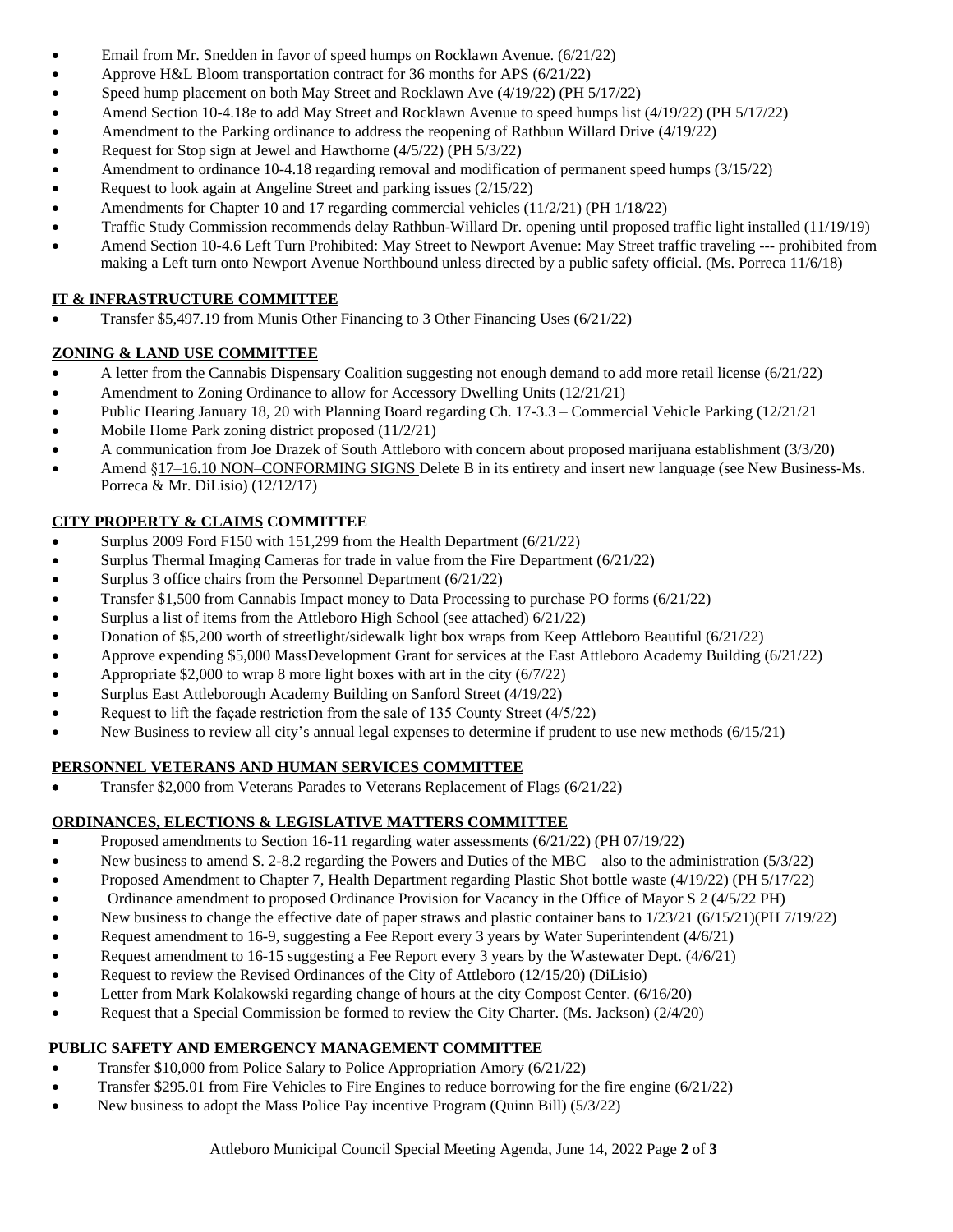- Email from Mr. Snedden in favor of speed humps on Rocklawn Avenue. (6/21/22)
- Approve H&L Bloom transportation contract for 36 months for APS (6/21/22)
- Speed hump placement on both May Street and Rocklawn Ave (4/19/22) (PH 5/17/22)
- Amend Section 10-4.18e to add May Street and Rocklawn Avenue to speed humps list (4/19/22) (PH 5/17/22)
- Amendment to the Parking ordinance to address the reopening of Rathbun Willard Drive (4/19/22)
- Request for Stop sign at Jewel and Hawthorne (4/5/22) (PH 5/3/22)
- Amendment to ordinance 10-4.18 regarding removal and modification of permanent speed humps (3/15/22)
- Request to look again at Angeline Street and parking issues (2/15/22)
- Amendments for Chapter 10 and 17 regarding commercial vehicles (11/2/21) (PH 1/18/22)
- Traffic Study Commission recommends delay Rathbun-Willard Dr. opening until proposed traffic light installed (11/19/19)
- Amend Section 10-4.6 Left Turn Prohibited: May Street to Newport Avenue: May Street traffic traveling --- prohibited from making a Left turn onto Newport Avenue Northbound unless directed by a public safety official. (Ms. Porreca 11/6/18)

# **IT & INFRASTRUCTURE COMMITTEE**

Transfer \$5,497.19 from Munis Other Financing to 3 Other Financing Uses (6/21/22)

# **ZONING & LAND USE COMMITTEE**

- A letter from the Cannabis Dispensary Coalition suggesting not enough demand to add more retail license (6/21/22)
- Amendment to Zoning Ordinance to allow for Accessory Dwelling Units (12/21/21)
- Public Hearing January 18, 20 with Planning Board regarding Ch. 17-3.3 Commercial Vehicle Parking (12/21/21
- Mobile Home Park zoning district proposed (11/2/21)
- A communication from Joe Drazek of South Attleboro with concern about proposed marijuana establishment (3/3/20)
- Amend §17–16.10 NON–CONFORMING SIGNS Delete B in its entirety and insert new language (see New Business-Ms. Porreca & Mr. DiLisio) (12/12/17)

# **CITY PROPERTY & CLAIMS COMMITTEE**

- Surplus 2009 Ford F150 with 151,299 from the Health Department (6/21/22)
- Surplus Thermal Imaging Cameras for trade in value from the Fire Department (6/21/22)
- Surplus 3 office chairs from the Personnel Department (6/21/22)
- Transfer \$1,500 from Cannabis Impact money to Data Processing to purchase PO forms (6/21/22)
- Surplus a list of items from the Attleboro High School (see attached) 6/21/22)
- Donation of \$5,200 worth of streetlight/sidewalk light box wraps from Keep Attleboro Beautiful (6/21/22)
- Approve expending \$5,000 MassDevelopment Grant for services at the East Attleboro Academy Building (6/21/22)
- Appropriate \$2,000 to wrap 8 more light boxes with art in the city (6/7/22)
- Surplus East Attleborough Academy Building on Sanford Street (4/19/22)
- Request to lift the façade restriction from the sale of 135 County Street (4/5/22)
- New Business to review all city's annual legal expenses to determine if prudent to use new methods (6/15/21)

## **PERSONNEL VETERANS AND HUMAN SERVICES COMMITTEE**

Transfer \$2,000 from Veterans Parades to Veterans Replacement of Flags (6/21/22)

# **ORDINANCES, ELECTIONS & LEGISLATIVE MATTERS COMMITTEE**

- Proposed amendments to Section 16-11 regarding water assessments (6/21/22) (PH 07/19/22)
- New business to amend S. 2-8.2 regarding the Powers and Duties of the MBC also to the administration (5/3/22)
- Proposed Amendment to Chapter 7, Health Department regarding Plastic Shot bottle waste (4/19/22) (PH 5/17/22)
- Ordinance amendment to proposed Ordinance Provision for Vacancy in the Office of Mayor S 2 (4/5/22 PH)
- New business to change the effective date of paper straws and plastic container bans to 1/23/21 (6/15/21)(PH 7/19/22)
- Request amendment to 16-9, suggesting a Fee Report every 3 years by Water Superintendent (4/6/21)
- Request amendment to 16-15 suggesting a Fee Report every 3 years by the Wastewater Dept. (4/6/21)
- Request to review the Revised Ordinances of the City of Attleboro (12/15/20) (DiLisio)
- Letter from Mark Kolakowski regarding change of hours at the city Compost Center. (6/16/20)
- Request that a Special Commission be formed to review the City Charter. (Ms. Jackson) (2/4/20)

# **PUBLIC SAFETY AND EMERGENCY MANAGEMENT COMMITTEE**

- Transfer \$10,000 from Police Salary to Police Appropriation Amory (6/21/22)
- Transfer \$295.01 from Fire Vehicles to Fire Engines to reduce borrowing for the fire engine (6/21/22)
- New business to adopt the Mass Police Pay incentive Program (Quinn Bill) (5/3/22)